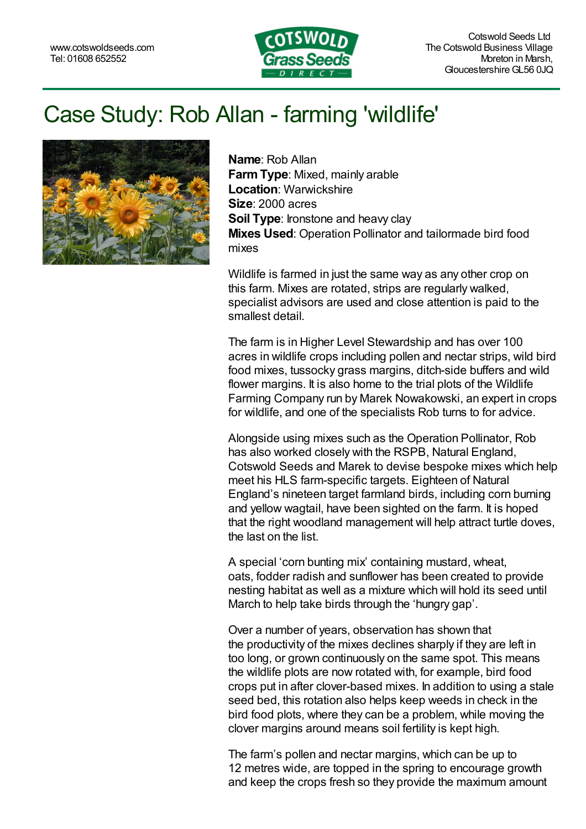

## Case Study: Rob Allan - farming 'wildlife'



**Name**: Rob Allan **FarmType**: Mixed, mainly arable **Location**: Warwickshire **Size**: 2000 acres **Soil Type**: Ironstone and heavy clay **Mixes Used**: [Operation](https://www.cotswoldseeds.com/products/1051/the-operation-pollinator-mix-just-%3Cdfn%3E%3Cabbr%20title=) Pollinator and tailormade bird food mixes

Wildlife is farmed in just the same way as any other crop on this farm. Mixes are rotated, strips are regularly walked, specialist advisors are used and close attention is paid to the smallest detail.

The farm is in Higher Level Stewardship and has over 100 acres in wildlife crops including pollen and nectar strips, wild bird food mixes, tussocky grass margins, ditch-side buffers and wild flower margins. It is also home to the trial plots of the Wildlife Farming Company run by Marek [Nowakowski,](http://www.uptonestate.co.uk/) an expert in crops for wildlife, and one of the specialists Rob turns to for advice.

Alongside using mixes such as the Operation Pollinator, Rob has also worked closely with the RSPB, Natural England, Cotswold Seeds and Marek to devise bespoke mixes which help meet his HLS farm-specific targets. Eighteen of Natural England's nineteen target farmland birds, including corn burning and yellow wagtail, have been sighted on the farm. It is hoped that the right woodland management will help attract turtle doves, the last on the list.

A special 'corn bunting mix' containing mustard, wheat, oats, fodder radish and sunflower has been created to provide nesting habitat as well as a mixture which will hold its seed until March to help take birds through the 'hungry gap'.

Over a number of years, observation has shown that the productivity of the mixes declines sharply if they are left in too long, or grown continuously on the same spot. This means the wildlife plots are now rotated with, for example, bird food crops put in after clover-based mixes. In addition to using a stale seed bed, this rotation also helps keep weeds in check in the bird food plots, where they can be a problem, while moving the clover margins around means soil fertility is kept high.

The farm's pollen and nectar margins, which can be up to 12 metres wide, are topped in the spring to encourage growth and keep the crops fresh so they provide the maximum amount